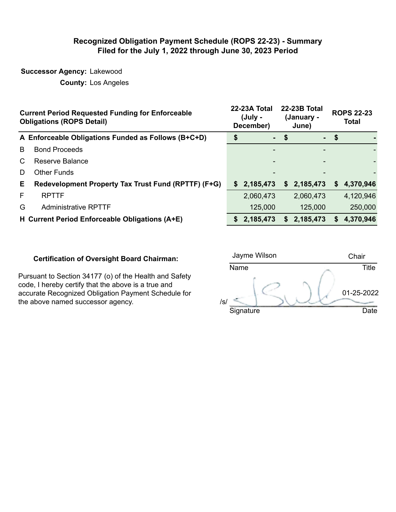### **Recognized Obligation Payment Schedule (ROPS 22-23) - Summary Filed for the July 1, 2022 through June 30, 2023 Period**

**Successor Agency:** Lakewood

**County:** Los Angeles

|    | <b>Current Period Requested Funding for Enforceable</b><br><b>Obligations (ROPS Detail)</b> |    | 22-23A Total<br>(July -<br>December) |                   | 22-23B Total<br>(January -<br>June) |        | <b>ROPS 22-23</b><br><b>Total</b> |
|----|---------------------------------------------------------------------------------------------|----|--------------------------------------|-------------------|-------------------------------------|--------|-----------------------------------|
|    | A Enforceable Obligations Funded as Follows (B+C+D)                                         |    | $\sim$                               | $\boldsymbol{\$}$ |                                     | $-$ \$ |                                   |
| B  | <b>Bond Proceeds</b>                                                                        |    |                                      |                   |                                     |        |                                   |
| C  | Reserve Balance                                                                             |    |                                      |                   |                                     |        |                                   |
| D  | <b>Other Funds</b>                                                                          |    |                                      |                   |                                     |        |                                   |
| Е. | Redevelopment Property Tax Trust Fund (RPTTF) (F+G)                                         | S. | 2,185,473                            | \$                | 2,185,473                           | S.     | 4,370,946                         |
| F. | <b>RPTTF</b>                                                                                |    | 2,060,473                            |                   | 2,060,473                           |        | 4,120,946                         |
| G  | <b>Administrative RPTTF</b>                                                                 |    | 125,000                              |                   | 125,000                             |        | 250,000                           |
|    | H Current Period Enforceable Obligations (A+E)                                              | S. | 2,185,473                            | $\mathbf{s}$      | 2,185,473                           | S.     | 4,370,946                         |

#### **Certification of Oversight Board Chairman:**

Pursuant to Section 34177 (o) of the Health and Safety code, I hereby certify that the above is a true and accurate Recognized Obligation Payment Schedule for the above named successor agency.  $/$  /s/

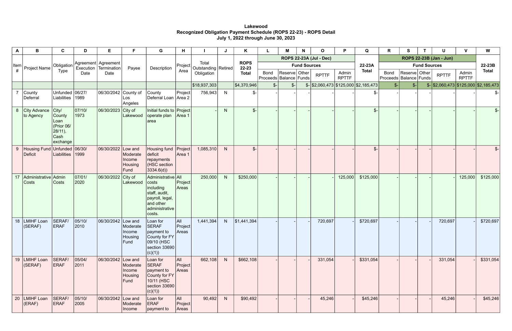#### **Lakewood Recognized Obligation Payment Schedule (ROPS 22-23) - ROPS Detail July 1, 2022 through June 30, 2023**

| A        | В                                | C                                                                       | D               | Е                                                | E                                     | G                                                                                                                     | H.                              |                                |    | K                    |                                | M                                           | N                   | $\mathbf O$                                        | P                     | Q              | R                                         | S.                  |  | U                                                  | $\mathbf{V}$          | W            |
|----------|----------------------------------|-------------------------------------------------------------------------|-----------------|--------------------------------------------------|---------------------------------------|-----------------------------------------------------------------------------------------------------------------------|---------------------------------|--------------------------------|----|----------------------|--------------------------------|---------------------------------------------|---------------------|----------------------------------------------------|-----------------------|----------------|-------------------------------------------|---------------------|--|----------------------------------------------------|-----------------------|--------------|
|          |                                  |                                                                         |                 |                                                  |                                       |                                                                                                                       |                                 |                                |    |                      | <b>ROPS 22-23A (Jul - Dec)</b> |                                             |                     |                                                    |                       |                |                                           |                     |  |                                                    |                       |              |
| $ $ Item | Project Name                     | Obligation                                                              |                 | Agreement   Agreement<br>Execution   Termination | Payee                                 | Description                                                                                                           | Project                         | Total<br>Outstanding   Retired |    | <b>ROPS</b><br>22-23 |                                |                                             | <b>Fund Sources</b> |                                                    |                       | 22-23A         |                                           | <b>Fund Sources</b> |  |                                                    |                       | 22-23B       |
| #        |                                  | Type                                                                    | Date            | Date                                             |                                       |                                                                                                                       | Area                            | Obligation                     |    | <b>Total</b>         | <b>Bond</b>                    | Reserve Other<br>Proceeds   Balance   Funds |                     | <b>RPTTF</b>                                       | Admin<br><b>RPTTF</b> | <b>Total</b>   | <b>Bond</b><br>Proceeds   Balance   Funds | Reserve Other       |  | <b>RPTTF</b>                                       | Admin<br><b>RPTTF</b> | <b>Total</b> |
|          |                                  |                                                                         |                 |                                                  |                                       |                                                                                                                       |                                 | \$18,937,303                   |    | \$4,370,946          | $s-$                           | $s-$                                        |                     | $\frac{1}{2}$ \\$2,060,473 \\$125,000 \\$2,185,473 |                       |                | $S-$                                      | $\mathcal{S}$       |  | $\frac{1}{2}$ \\$2,060,473 \\$125,000 \\$2,185,473 |                       |              |
|          | County<br>Deferral               | Unfunded 06/27/<br>Liabilities                                          | 1989            | 06/30/2042 County of                             | Los<br>Angeles                        | County<br>Deferral Loan   Area 2                                                                                      | Project                         | 756,943                        | N  | $\mathcal{S}$        |                                |                                             |                     |                                                    |                       | \$-            |                                           |                     |  |                                                    |                       | \$-          |
|          | 8 City Advance<br>to Agency      | City/<br>County<br>Loan<br>(Prior 06/<br>$28/11$ ),<br>Cash<br>exchange | 07/10/<br>1973  | 06/30/2023 City of                               | Lakewood                              | Initial funds to Project<br>operate plan<br><b>area</b>                                                               | Area 1                          |                                | N  | $\mathcal{S}$        |                                |                                             |                     |                                                    |                       | $\mathbb{S}$   |                                           |                     |  |                                                    |                       | $S-$         |
|          | 9 Housing Fund<br><b>Deficit</b> | Unfunded 06/30/<br><b>Liabilities</b>                                   | 1999            | 06/30/2022 Low and                               | Moderate<br>Income<br>Housing<br>Fund | Housing fund<br>deficit<br>repayments<br>(HSC section<br>3334.6(d)                                                    | Project<br>Area 1               | 1,085,310                      | N  | $\mathcal{S}$        |                                |                                             |                     |                                                    |                       | $\mathbb{S}^-$ |                                           |                     |  |                                                    |                       | $S-$         |
|          | 17 Administrative Admin<br>Costs | Costs                                                                   | 07/01/<br>2020  | 06/30/2022 City of                               | Lakewood                              | Administrative All<br>costs<br>including<br>staff, audit,<br>payroll, legal,<br>and other<br>administrative<br>costs. | Project<br>Areas                | 250,000                        | N  | \$250,000            |                                |                                             |                     |                                                    | 125,000               | \$125,000      |                                           |                     |  |                                                    | 125,000               | \$125,000    |
|          | 18   LMIHF Loan<br>(SERAF)       | SERAF/<br><b>ERAF</b>                                                   | 05/10/<br>2010  | 06/30/2042 Low and                               | Moderate<br>Income<br>Housing<br>Fund | Loan for<br><b>SERAF</b><br>payment to<br>County for FY<br>09/10 (HSC<br>section 33690<br>(c)(1))                     | All<br>$ $ Project $ $<br>Areas | 1,441,394                      | N. | \$1,441,394          |                                |                                             |                     | 720,697                                            |                       | \$720,697      |                                           |                     |  | 720,697                                            |                       | \$720,697    |
|          | 19   LMIHF Loan<br>(SERAF)       | SERAF/<br><b>ERAF</b>                                                   | 05/04/<br> 2011 | 06/30/2042 Low and                               | Moderate<br>Income<br>Housing<br>Fund | Loan for<br>SERAF<br>payment to<br>County for FY<br>10/11 (HSC<br>section 33690<br>(c)(1))                            | All<br>$ $ Project $ $<br>Areas | 662,108                        | N  | \$662,108            |                                |                                             |                     | 331,054                                            |                       | \$331,054      |                                           |                     |  | 331,054                                            |                       | \$331,054    |
| 20       | <b>LMIHF Loan</b><br>(ERAF)      | SERAF/<br><b>ERAF</b>                                                   | 05/10/<br> 2005 | 06/30/2042 Low and                               | Moderate<br>Income                    | Loan for<br><b>ERAF</b><br>payment to                                                                                 | All<br>$ $ Project $ $<br>Areas | 90,492                         | N  | \$90,492             |                                |                                             |                     | 45,246                                             |                       | \$45,246       |                                           |                     |  | 45,246                                             |                       | \$45,246     |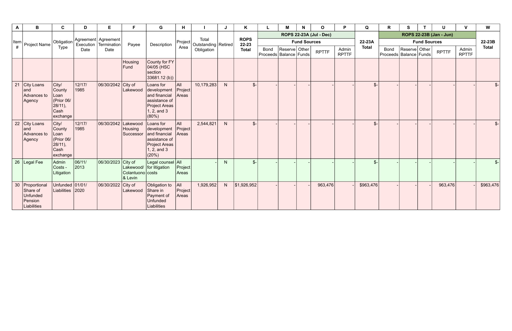| A        | B                                                                     | $\mathbf{C}$                                                         | D              | E.                                                 | E                             | G                                                                                                          | H                       |                              |    | K                    |                                           | M             | N | O            | P                     | Q                   | R                                         | S             |  | $\mathsf{U}$ | $\mathbf v$           | W               |
|----------|-----------------------------------------------------------------------|----------------------------------------------------------------------|----------------|----------------------------------------------------|-------------------------------|------------------------------------------------------------------------------------------------------------|-------------------------|------------------------------|----|----------------------|-------------------------------------------|---------------|---|--------------|-----------------------|---------------------|-------------------------------------------|---------------|--|--------------|-----------------------|-----------------|
|          |                                                                       |                                                                      |                |                                                    |                               |                                                                                                            |                         | Total<br>Outstanding Retired |    |                      | <b>ROPS 22-23A (Jul - Dec)</b>            |               |   |              |                       |                     |                                           |               |  |              |                       |                 |
| Item $ $ | Project Name                                                          | Obligation                                                           |                | Agreement   Agreement  <br>Execution   Termination | Payee                         | Description                                                                                                | Project                 |                              |    | <b>ROPS</b><br>22-23 | <b>Fund Sources</b>                       |               |   |              | 22-23A                | <b>Fund Sources</b> |                                           |               |  |              | 22-23B                |                 |
| #        |                                                                       | Type                                                                 | Date           | Date                                               |                               |                                                                                                            | Area                    | Obligation                   |    | <b>Total</b>         | <b>Bond</b><br>Proceeds   Balance   Funds | Reserve Other |   | <b>RPTTF</b> | Admin<br><b>RPTTF</b> | <b>Total</b>        | <b>Bond</b><br>Proceeds   Balance   Funds | Reserve Other |  | <b>RPTTF</b> | Admin<br><b>RPTTF</b> | <b>Total</b>    |
|          |                                                                       |                                                                      |                |                                                    | Housing<br>Fund               | County for FY<br>04/05 (HSC<br>section<br>33681.12(b)                                                      |                         |                              |    |                      |                                           |               |   |              |                       |                     |                                           |               |  |              |                       |                 |
| 21       | <b>City Loans</b><br>and<br>Advances to<br>Agency                     | City/<br>County<br>Loan<br>(Prior 06/<br>28/11),<br>Cash<br>exchange | 12/17/<br>1985 | 06/30/2042 City of                                 | Lakewood                      | Loans for<br>development<br>and financial<br>assistance of<br><b>Project Areas</b><br>1, 2, and 3<br>(80%) | All<br>Project<br>Areas | 10,179,283                   | N  | $\mathbb{S}$         |                                           |               |   |              |                       | $\mathcal{S}$       |                                           |               |  |              |                       | $\mathcal{S}$ - |
| 22       | <b>City Loans</b><br>and<br>Advances to<br>Agency                     | City/<br>County<br>Loan<br>(Prior 06/<br>28/11),<br>Cash<br>exchange | 12/17/<br>1985 | 06/30/2042   Lakewood                              | Housing<br>Successor          | Loans for<br>development<br>and financial<br>assistance of<br>Project Areas<br>1, 2, and 3<br>(20%)        | All<br>Project<br>Areas | 2,544,821                    | N  | $\mathcal{S}$        |                                           |               |   |              |                       | $\mathcal{S}$       |                                           |               |  |              |                       | $\mathcal{S}$ - |
| 26       | <b>Legal Fee</b>                                                      | Admin<br>Costs -<br>Litigation                                       | 06/11/<br>2013 | 06/30/2023 City of                                 | Colantuono costs<br>$8$ Levin | Legal counsel All<br>Lakewood/ for litigation                                                              | Project<br>Areas        |                              | N. | $\mathcal{S}$        |                                           |               |   |              |                       | $S-$                |                                           |               |  |              |                       | $\mathcal{S}$ - |
| 30       | Proportional<br>Share of<br><b>Unfunded</b><br>Pension<br>Liabilities | Unfunded 01/01/<br>Liabilities 2020                                  |                | 06/30/2022 City of                                 | Lakewood                      | Obligation to<br>Share in<br>Payment of<br><b>Unfunded</b><br>Liabilities                                  | All<br>Project<br>Areas | 1,926,952                    | N  | \$1,926,952          |                                           |               |   | 963,476      |                       | \$963,476           |                                           |               |  | 963,476      |                       | \$963,476       |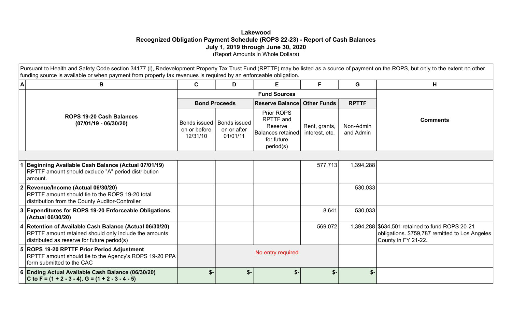## **Lakewood Recognized Obligation Payment Schedule (ROPS 22-23) - Report of Cash Balances July 1, 2019 through June 30, 2020**  (Report Amounts in Whole Dollars)

Pursuant to Health and Safety Code section 34177 (I), Redevelopment Property Tax Trust Fund (RPTTF) may be listed as a source of payment on the ROPS, but only to the extent no other funding source is available or when payment from property tax revenues is required by an enforceable obligation.

| A | B                                                                                                                                                               | $\mathbf{C}$                             | D                                              | Е                                                                                         | F                               | G                      | н                                                                                                                        |  |
|---|-----------------------------------------------------------------------------------------------------------------------------------------------------------------|------------------------------------------|------------------------------------------------|-------------------------------------------------------------------------------------------|---------------------------------|------------------------|--------------------------------------------------------------------------------------------------------------------------|--|
|   |                                                                                                                                                                 |                                          |                                                | <b>Fund Sources</b>                                                                       |                                 |                        |                                                                                                                          |  |
|   |                                                                                                                                                                 |                                          | <b>Bond Proceeds</b>                           | <b>Reserve Balance</b>                                                                    | <b>Other Funds</b>              | <b>RPTTF</b>           |                                                                                                                          |  |
|   | <b>ROPS 19-20 Cash Balances</b><br>$(07/01/19 - 06/30/20)$                                                                                                      | Bonds issued<br>on or before<br>12/31/10 | <b>Bonds issued</b><br>on or after<br>01/01/11 | Prior ROPS<br>RPTTF and<br>Reserve<br><b>Balances retained</b><br>for future<br>period(s) | Rent, grants,<br>interest, etc. | Non-Admin<br>and Admin | <b>Comments</b>                                                                                                          |  |
|   |                                                                                                                                                                 |                                          |                                                |                                                                                           |                                 |                        |                                                                                                                          |  |
|   | Beginning Available Cash Balance (Actual 07/01/19)<br>RPTTF amount should exclude "A" period distribution<br>amount.                                            |                                          |                                                |                                                                                           | 577,713                         | 1,394,288              |                                                                                                                          |  |
| 2 | Revenue/Income (Actual 06/30/20)<br>RPTTF amount should tie to the ROPS 19-20 total<br>distribution from the County Auditor-Controller                          |                                          |                                                |                                                                                           |                                 | 530,033                |                                                                                                                          |  |
|   | <b>Expenditures for ROPS 19-20 Enforceable Obligations</b><br>(Actual 06/30/20)                                                                                 |                                          |                                                |                                                                                           | 8,641                           | 530,033                |                                                                                                                          |  |
|   | 4 Retention of Available Cash Balance (Actual 06/30/20)<br>RPTTF amount retained should only include the amounts<br>distributed as reserve for future period(s) |                                          |                                                |                                                                                           | 569,072                         |                        | 1,394,288 \$634,501 retained to fund ROPS 20-21<br>obligations. \$759,787 remitted to Los Angeles<br>County in FY 21-22. |  |
|   | 5 ROPS 19-20 RPTTF Prior Period Adjustment<br>RPTTF amount should tie to the Agency's ROPS 19-20 PPA<br>form submitted to the CAC                               |                                          |                                                | No entry required                                                                         |                                 |                        |                                                                                                                          |  |
|   | 6 Ending Actual Available Cash Balance (06/30/20)<br>$ C \text{ to } F = (1 + 2 - 3 - 4), G = (1 + 2 - 3 - 4 - 5)$                                              | $$-$                                     | \$-                                            | \$-                                                                                       | $S-$                            | $$-$                   |                                                                                                                          |  |